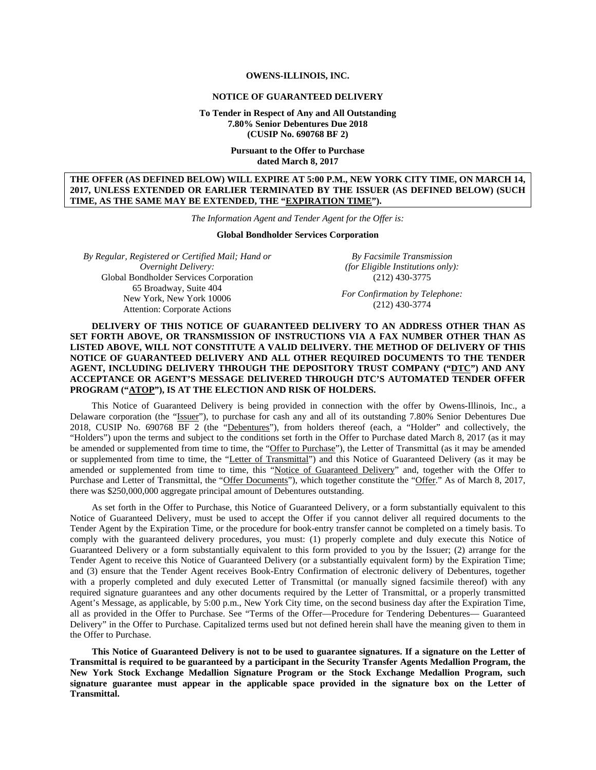#### **OWENS-ILLINOIS, INC.**

#### **NOTICE OF GUARANTEED DELIVERY**

## **To Tender in Respect of Any and All Outstanding 7.80% Senior Debentures Due 2018 (CUSIP No. 690768 BF 2)**

## **Pursuant to the Offer to Purchase dated March 8, 2017**

## **THE OFFER (AS DEFINED BELOW) WILL EXPIRE AT 5:00 P.M., NEW YORK CITY TIME, ON MARCH 14, 2017, UNLESS EXTENDED OR EARLIER TERMINATED BY THE ISSUER (AS DEFINED BELOW) (SUCH TIME, AS THE SAME MAY BE EXTENDED, THE "EXPIRATION TIME").**

*The Information Agent and Tender Agent for the Offer is:* 

#### **Global Bondholder Services Corporation**

*By Regular, Registered or Certified Mail; Hand or Overnight Delivery:*  Global Bondholder Services Corporation 65 Broadway, Suite 404 New York, New York 10006 Attention: Corporate Actions

*By Facsimile Transmission (for Eligible Institutions only):*  (212) 430-3775

*For Confirmation by Telephone:*  (212) 430-3774

## **DELIVERY OF THIS NOTICE OF GUARANTEED DELIVERY TO AN ADDRESS OTHER THAN AS SET FORTH ABOVE, OR TRANSMISSION OF INSTRUCTIONS VIA A FAX NUMBER OTHER THAN AS LISTED ABOVE, WILL NOT CONSTITUTE A VALID DELIVERY. THE METHOD OF DELIVERY OF THIS NOTICE OF GUARANTEED DELIVERY AND ALL OTHER REQUIRED DOCUMENTS TO THE TENDER AGENT, INCLUDING DELIVERY THROUGH THE DEPOSITORY TRUST COMPANY ("DTC") AND ANY ACCEPTANCE OR AGENT'S MESSAGE DELIVERED THROUGH DTC'S AUTOMATED TENDER OFFER PROGRAM ("ATOP"), IS AT THE ELECTION AND RISK OF HOLDERS.**

This Notice of Guaranteed Delivery is being provided in connection with the offer by Owens-Illinois, Inc., a Delaware corporation (the "Issuer"), to purchase for cash any and all of its outstanding 7.80% Senior Debentures Due 2018, CUSIP No. 690768 BF 2 (the "Debentures"), from holders thereof (each, a "Holder" and collectively, the "Holders") upon the terms and subject to the conditions set forth in the Offer to Purchase dated March 8, 2017 (as it may be amended or supplemented from time to time, the "Offer to Purchase"), the Letter of Transmittal (as it may be amended or supplemented from time to time, the "Letter of Transmittal") and this Notice of Guaranteed Delivery (as it may be amended or supplemented from time to time, this "Notice of Guaranteed Delivery" and, together with the Offer to Purchase and Letter of Transmittal, the "Offer Documents"), which together constitute the "Offer." As of March 8, 2017, there was \$250,000,000 aggregate principal amount of Debentures outstanding.

As set forth in the Offer to Purchase, this Notice of Guaranteed Delivery, or a form substantially equivalent to this Notice of Guaranteed Delivery, must be used to accept the Offer if you cannot deliver all required documents to the Tender Agent by the Expiration Time, or the procedure for book-entry transfer cannot be completed on a timely basis. To comply with the guaranteed delivery procedures, you must: (1) properly complete and duly execute this Notice of Guaranteed Delivery or a form substantially equivalent to this form provided to you by the Issuer; (2) arrange for the Tender Agent to receive this Notice of Guaranteed Delivery (or a substantially equivalent form) by the Expiration Time; and (3) ensure that the Tender Agent receives Book-Entry Confirmation of electronic delivery of Debentures, together with a properly completed and duly executed Letter of Transmittal (or manually signed facsimile thereof) with any required signature guarantees and any other documents required by the Letter of Transmittal, or a properly transmitted Agent's Message, as applicable, by 5:00 p.m., New York City time, on the second business day after the Expiration Time, all as provided in the Offer to Purchase. See "Terms of the Offer—Procedure for Tendering Debentures— Guaranteed Delivery" in the Offer to Purchase. Capitalized terms used but not defined herein shall have the meaning given to them in the Offer to Purchase.

**This Notice of Guaranteed Delivery is not to be used to guarantee signatures. If a signature on the Letter of Transmittal is required to be guaranteed by a participant in the Security Transfer Agents Medallion Program, the New York Stock Exchange Medallion Signature Program or the Stock Exchange Medallion Program, such signature guarantee must appear in the applicable space provided in the signature box on the Letter of Transmittal.**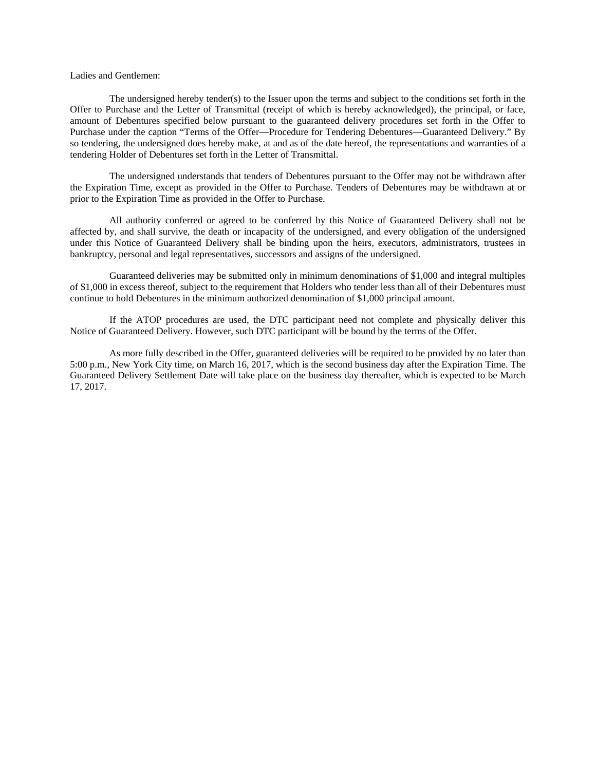# Ladies and Gentlemen:

The undersigned hereby tender(s) to the Issuer upon the terms and subject to the conditions set forth in the Offer to Purchase and the Letter of Transmittal (receipt of which is hereby acknowledged), the principal, or face, amount of Debentures specified below pursuant to the guaranteed delivery procedures set forth in the Offer to Purchase under the caption "Terms of the Offer—Procedure for Tendering Debentures—Guaranteed Delivery." By so tendering, the undersigned does hereby make, at and as of the date hereof, the representations and warranties of a tendering Holder of Debentures set forth in the Letter of Transmittal.

The undersigned understands that tenders of Debentures pursuant to the Offer may not be withdrawn after the Expiration Time, except as provided in the Offer to Purchase. Tenders of Debentures may be withdrawn at or prior to the Expiration Time as provided in the Offer to Purchase.

All authority conferred or agreed to be conferred by this Notice of Guaranteed Delivery shall not be affected by, and shall survive, the death or incapacity of the undersigned, and every obligation of the undersigned under this Notice of Guaranteed Delivery shall be binding upon the heirs, executors, administrators, trustees in bankruptcy, personal and legal representatives, successors and assigns of the undersigned.

Guaranteed deliveries may be submitted only in minimum denominations of \$1,000 and integral multiples of \$1,000 in excess thereof, subject to the requirement that Holders who tender less than all of their Debentures must continue to hold Debentures in the minimum authorized denomination of \$1,000 principal amount.

If the ATOP procedures are used, the DTC participant need not complete and physically deliver this Notice of Guaranteed Delivery. However, such DTC participant will be bound by the terms of the Offer.

As more fully described in the Offer, guaranteed deliveries will be required to be provided by no later than 5:00 p.m., New York City time, on March 16, 2017, which is the second business day after the Expiration Time. The Guaranteed Delivery Settlement Date will take place on the business day thereafter, which is expected to be March 17, 2017.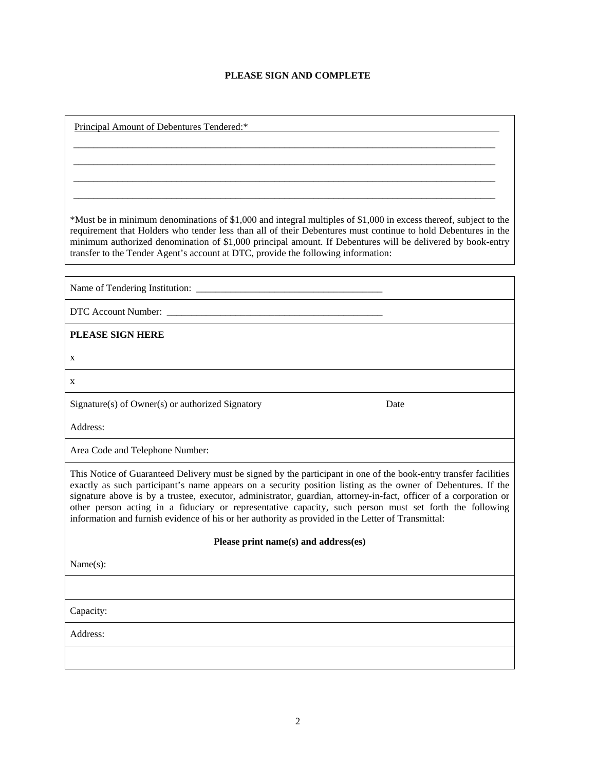# **PLEASE SIGN AND COMPLETE**

| Principal Amount of Debentures Tendered:*                                                                                                                                                                                                                                                                                                                                                                                                                                                                                                                               |
|-------------------------------------------------------------------------------------------------------------------------------------------------------------------------------------------------------------------------------------------------------------------------------------------------------------------------------------------------------------------------------------------------------------------------------------------------------------------------------------------------------------------------------------------------------------------------|
|                                                                                                                                                                                                                                                                                                                                                                                                                                                                                                                                                                         |
|                                                                                                                                                                                                                                                                                                                                                                                                                                                                                                                                                                         |
| *Must be in minimum denominations of \$1,000 and integral multiples of \$1,000 in excess thereof, subject to the<br>requirement that Holders who tender less than all of their Debentures must continue to hold Debentures in the<br>minimum authorized denomination of \$1,000 principal amount. If Debentures will be delivered by book-entry<br>transfer to the Tender Agent's account at DTC, provide the following information:                                                                                                                                    |
|                                                                                                                                                                                                                                                                                                                                                                                                                                                                                                                                                                         |
| DTC Account Number:                                                                                                                                                                                                                                                                                                                                                                                                                                                                                                                                                     |
| <b>PLEASE SIGN HERE</b>                                                                                                                                                                                                                                                                                                                                                                                                                                                                                                                                                 |
| X                                                                                                                                                                                                                                                                                                                                                                                                                                                                                                                                                                       |
| X                                                                                                                                                                                                                                                                                                                                                                                                                                                                                                                                                                       |
| Signature(s) of Owner(s) or authorized Signatory<br>Date                                                                                                                                                                                                                                                                                                                                                                                                                                                                                                                |
| Address:                                                                                                                                                                                                                                                                                                                                                                                                                                                                                                                                                                |
| Area Code and Telephone Number:                                                                                                                                                                                                                                                                                                                                                                                                                                                                                                                                         |
| This Notice of Guaranteed Delivery must be signed by the participant in one of the book-entry transfer facilities<br>exactly as such participant's name appears on a security position listing as the owner of Debentures. If the<br>signature above is by a trustee, executor, administrator, guardian, attorney-in-fact, officer of a corporation or<br>other person acting in a fiduciary or representative capacity, such person must set forth the following<br>information and furnish evidence of his or her authority as provided in the Letter of Transmittal: |
| Please print name(s) and address(es)                                                                                                                                                                                                                                                                                                                                                                                                                                                                                                                                    |
| Name(s):                                                                                                                                                                                                                                                                                                                                                                                                                                                                                                                                                                |
|                                                                                                                                                                                                                                                                                                                                                                                                                                                                                                                                                                         |
| Capacity:                                                                                                                                                                                                                                                                                                                                                                                                                                                                                                                                                               |
| Address:                                                                                                                                                                                                                                                                                                                                                                                                                                                                                                                                                                |
|                                                                                                                                                                                                                                                                                                                                                                                                                                                                                                                                                                         |
|                                                                                                                                                                                                                                                                                                                                                                                                                                                                                                                                                                         |